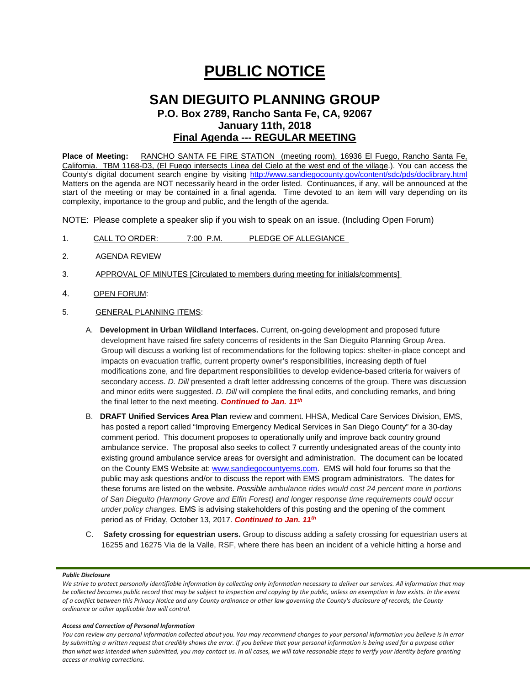# **PUBLIC NOTICE**

# **SAN DIEGUITO PLANNING GROUP P.O. Box 2789, Rancho Santa Fe, CA, 92067 January 11th, 2018 Final Agenda --- REGULAR MEETING**

Place of Meeting: RANCHO SANTA FE FIRE STATION (meeting room), 16936 El Fuego, Rancho Santa Fe, California. TBM 1168-D3, (El Fuego intersects Linea del Cielo at the west end of the village.). You can access the County's digital document search engine by visiting<http://www.sandiegocounty.gov/content/sdc/pds/doclibrary.html> Matters on the agenda are NOT necessarily heard in the order listed. Continuances, if any, will be announced at the start of the meeting or may be contained in a final agenda. Time devoted to an item will vary depending on its complexity, importance to the group and public, and the length of the agenda.

NOTE: Please complete a speaker slip if you wish to speak on an issue. (Including Open Forum)

- 1. CALL TO ORDER: 7:00 P.M. PLEDGE OF ALLEGIANCE
- 2. AGENDA REVIEW
- 3. APPROVAL OF MINUTES [Circulated to members during meeting for initials/comments]
- 4. OPEN FORUM:
- 5. GENERAL PLANNING ITEMS:
	- A. **Development in Urban Wildland Interfaces.** Current, on-going development and proposed future development have raised fire safety concerns of residents in the San Dieguito Planning Group Area. Group will discuss a working list of recommendations for the following topics: shelter-in-place concept and impacts on evacuation traffic, current property owner's responsibilities, increasing depth of fuel modifications zone, and fire department responsibilities to develop evidence-based criteria for waivers of secondary access. *D. Dill* presented a draft letter addressing concerns of the group. There was discussion and minor edits were suggested. *D. Dill* will complete the final edits, and concluding remarks, and bring the final letter to the next meeting. *Continued to Jan. 11th*
	- B. **DRAFT Unified Services Area Plan** review and comment. HHSA, Medical Care Services Division, EMS, has posted a report called "Improving Emergency Medical Services in San Diego County" for a 30-day comment period. This document proposes to operationally unify and improve back country ground ambulance service. The proposal also seeks to collect 7 currently undesignated areas of the county into existing ground ambulance service areas for oversight and administration. The document can be located on the County EMS Website at: [www.sandiegocountyems.com.](http://www.sandiegocountyems.com/) EMS will hold four forums so that the public may ask questions and/or to discuss the report with EMS program administrators. The dates for these forums are listed on the website. *Possible ambulance rides would cost 24 percent more in portions of San Dieguito (Harmony Grove and Elfin Forest) and longer response time requirements could occur under policy changes.* EMS is advising stakeholders of this posting and the opening of the comment period as of Friday, October 13, 2017. *Continued to Jan. 11th*
	- C. **Safety crossing for equestrian users.** Group to discuss adding a safety crossing for equestrian users at 16255 and 16275 Via de la Valle, RSF, where there has been an incident of a vehicle hitting a horse and

#### *Public Disclosure*

#### *Access and Correction of Personal Information*

*You can review any personal information collected about you. You may recommend changes to your personal information you believe is in error by submitting a written request that credibly shows the error. If you believe that your personal information is being used for a purpose other than what was intended when submitted, you may contact us. In all cases, we will take reasonable steps to verify your identity before granting access or making corrections.*

*We strive to protect personally identifiable information by collecting only information necessary to deliver our services. All information that may be collected becomes public record that may be subject to inspection and copying by the public, unless an exemption in law exists. In the event of a conflict between this Privacy Notice and any County ordinance or other law governing the County's disclosure of records, the County ordinance or other applicable law will control.*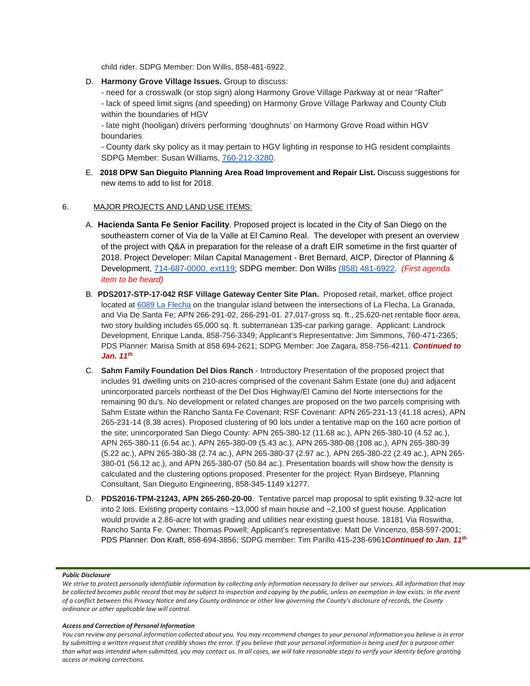child rider. SDPG Member: Don Willis, 858-481-6922.

- D. **Harmony Grove Village Issues.** Group to discuss:
	- need for a crosswalk (or stop sign) along Harmony Grove Village Parkway at or near "Rafter"

- lack of speed limit signs (and speeding) on Harmony Grove Village Parkway and County Club within the boundaries of HGV

- late night (hooligan) drivers performing 'doughnuts' on Harmony Grove Road within HGV boundaries

- County dark sky policy as it may pertain to HGV lighting in response to HG resident complaints SDPG Member: Susan Williams, [760-212-3280.](tel:(760)%20212-3280)

E. **2018 DPW San Dieguito Planning Area Road Improvement and Repair List.** Discuss suggestions for new items to add to list for 2018.

### 6. MAJOR PROJECTS AND LAND USE ITEMS:

- A. **Hacienda Santa Fe Senior Facility**. Proposed project is located in the City of San Diego on the southeastern corner of Via de la Valle at El Camino Real. The developer with present an overview of the project with Q&A in preparation for the release of a draft EIR sometime in the first quarter of 2018. Project Developer: Milan Capital Management - Bret Bernard, AICP, Director of Planning & Development, [714-687-0000, ext119;](tel:(714)%20687-0000) SDPG member: Don Willis [\(858\) 481-6922.](tel:(858)%20481-6922) *(First agenda item to be heard)*
- B. **PDS2017-STP-17-042 RSF Village Gateway Center Site Plan.** Proposed retail, market, office project located at [6089 La Flecha](https://maps.google.com/?q=6089+La+Flecha&entry=gmail&source=g) on the triangular island between the intersections of La Flecha, La Granada, and Via De Santa Fe; APN 266-291-02, 266-291-01. 27,017-gross sq. ft., 25,620-net rentable floor area, two story building includes 65,000 sq. ft. subterranean 135-car parking garage. Applicant: Landrock Development, Enrique Landa, 858-756-3349; Applicant's Representative: Jim Simmons, 760-471-2365; PDS Planner: Marisa Smith at 858 694-2621; SDPG Member: Joe Zagara, 858-756-4211. *Continued to Jan. 11th*
- C. **Sahm Family Foundation Del Dios Ranch** Introductory Presentation of the proposed project that includes 91 dwelling units on 210-acres comprised of the covenant Sahm Estate (one du) and adjacent unincorporated parcels northeast of the Del Dios Highway/El Camino del Norte intersections for the remaining 90 du's. No development or related changes are proposed on the two parcels comprising with Sahm Estate within the Rancho Santa Fe Covenant; RSF Covenant: APN 265-231-13 (41.18 acres), APN 265-231-14 (8.38 acres). Proposed clustering of 90 lots under a tentative map on the 160 acre portion of the site; unincorporated San Diego County: APN 265-380-12 (11.68 ac.), APN 265-380-10 (4.52 ac.), APN 265-380-11 (6.54 ac.), APN 265-380-09 (5.43 ac.), APN 265-380-08 (108 ac.), APN 265-380-39 (5.22 ac.), APN 265-380-38 (2.74 ac.), APN 265-380-37 (2.97 ac.), APN 265-380-22 (2.49 ac.), APN 265- 380-01 (56.12 ac.), and APN 265-380-07 (50.84 ac.). Presentation boards will show how the density is calculated and the clustering options proposed. Presenter for the project: Ryan Birdseye, Planning Consultant, San Dieguito Engineering, 858-345-1149 x1277.
- D. **PDS2016-TPM-21243, APN 265-260-20-00**. Tentative parcel map proposal to split existing 9.32-acre lot into 2 lots. Existing property contains ~13,000 sf main house and ~2,100 sf guest house. Application would provide a 2.86-acre lot with grading and utilities near existing guest house. 18181 Via Roswitha, Rancho Santa Fe. Owner: Thomas Powell; Applicant's representative: Matt De Vincenzo, 858-597-2001; PDS Planner: Don Kraft, 858-694-3856; SDPG member: Tim Parillo [415-238-6961](tel:415-238-6961)*Continued to Jan. 11th*

#### *Public Disclosure*

#### *Access and Correction of Personal Information*

*You can review any personal information collected about you. You may recommend changes to your personal information you believe is in error by submitting a written request that credibly shows the error. If you believe that your personal information is being used for a purpose other than what was intended when submitted, you may contact us. In all cases, we will take reasonable steps to verify your identity before granting access or making corrections.*

*We strive to protect personally identifiable information by collecting only information necessary to deliver our services. All information that may be collected becomes public record that may be subject to inspection and copying by the public, unless an exemption in law exists. In the event of a conflict between this Privacy Notice and any County ordinance or other law governing the County's disclosure of records, the County ordinance or other applicable law will control.*